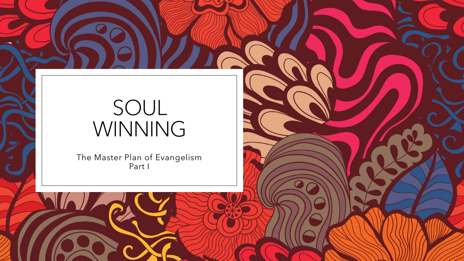# SOUL WINNING

The Master Plan of Evangelism Part I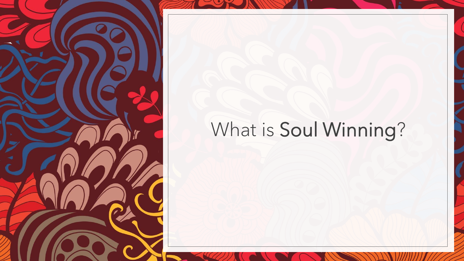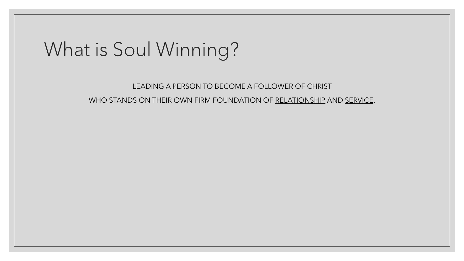LEADING A PERSON TO BECOME A FOLLOWER OF CHRIST WHO STANDS ON THEIR OWN FIRM FOUNDATION OF RELATIONSHIP AND SERVICE.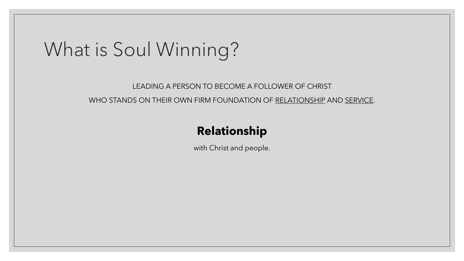#### LEADING A PERSON TO BECOME A FOLLOWER OF CHRIST WHO STANDS ON THEIR OWN FIRM FOUNDATION OF RELATIONSHIP AND SERVICE.

#### **Relationship**

with Christ and people.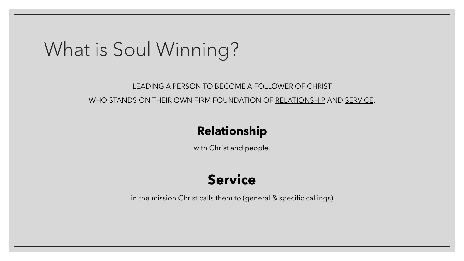#### LEADING A PERSON TO BECOME A FOLLOWER OF CHRIST WHO STANDS ON THEIR OWN FIRM FOUNDATION OF RELATIONSHIP AND SERVICE.

#### **Relationship**

with Christ and people.

#### **Service**

in the mission Christ calls them to (general & specific callings)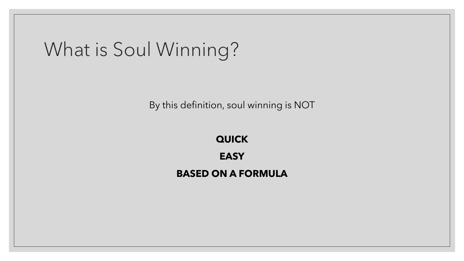By this definition, soul winning is NOT

**QUICK EASY BASED ON A FORMULA**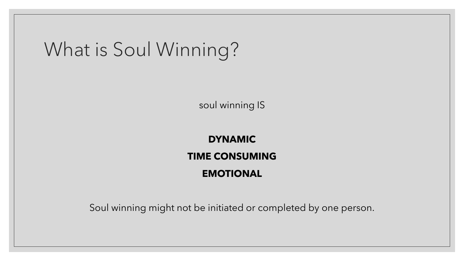soul winning IS

#### **DYNAMIC TIME CONSUMING EMOTIONAL**

Soul winning might not be initiated or completed by one person.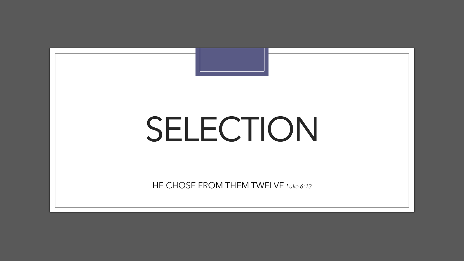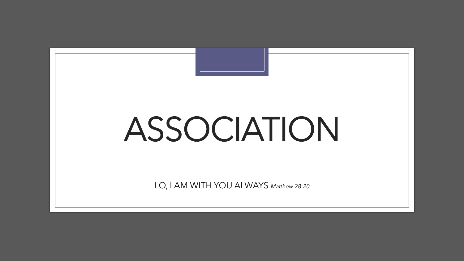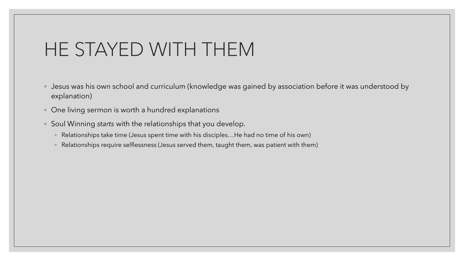### HE STAYED WITH THEM

- Jesus was his own school and curriculum (knowledge was gained by association before it was understood by explanation)
- One living sermon is worth a hundred explanations
- Soul Winning *starts* with the relationships that you develop.
	- Relationships take time (Jesus spent time with his disciples…He had no time of his own)
	- Relationships require selflessness (Jesus served them, taught them, was patient with them)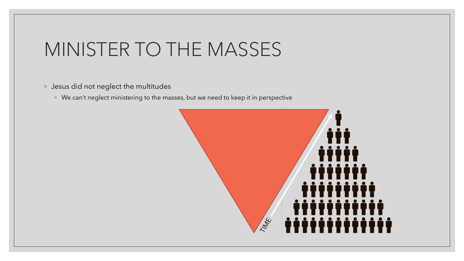# MINISTER TO THE MASSES

- Jesus did not neglect the multitudes
	- We can't neglect ministering to the masses, but we need to keep it in perspective

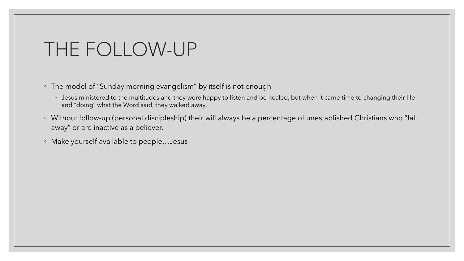#### THE FOLLOW-UP

- The model of "Sunday morning evangelism" by itself is not enough
	- Jesus ministered to the multitudes and they were happy to listen and be healed, but when it came time to changing their life and "doing" what the Word said, they walked away.
- Without follow-up (personal discipleship) their will always be a percentage of unestablished Christians who "fall away" or are inactive as a believer.
- Make yourself available to people…Jesus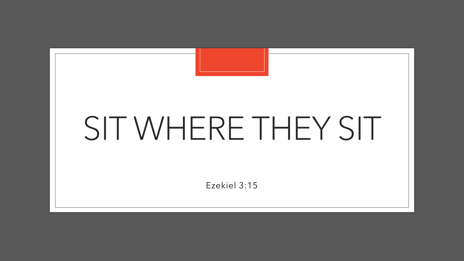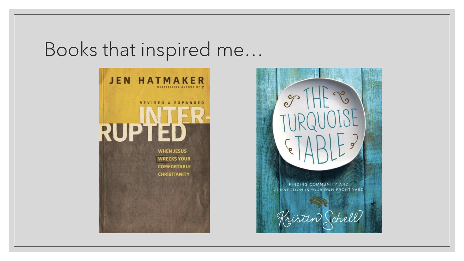### Books that inspired me…



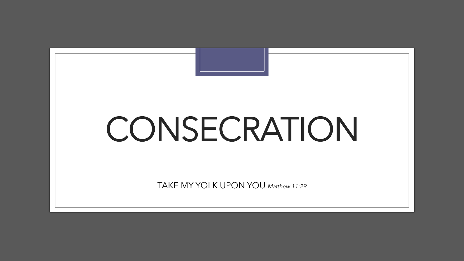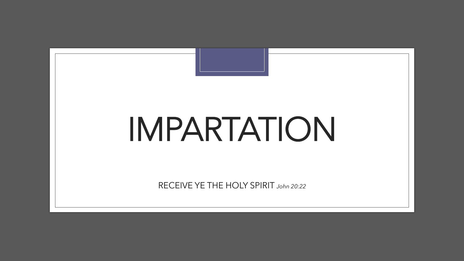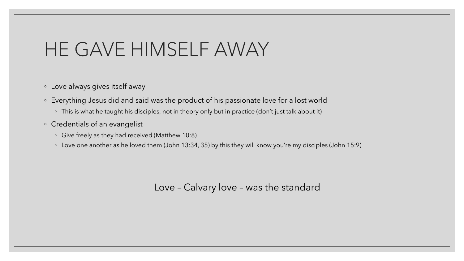### HE GAVE HIMSELF AWAY

- Love always gives itself away
- Everything Jesus did and said was the product of his passionate love for a lost world
	- This is what he taught his disciples, not in theory only but in practice (don't just talk about it)
- Credentials of an evangelist
	- Give freely as they had received (Matthew 10:8)
	- Love one another as he loved them (John 13:34, 35) by this they will know you're my disciples (John 15:9)

Love – Calvary love – was the standard